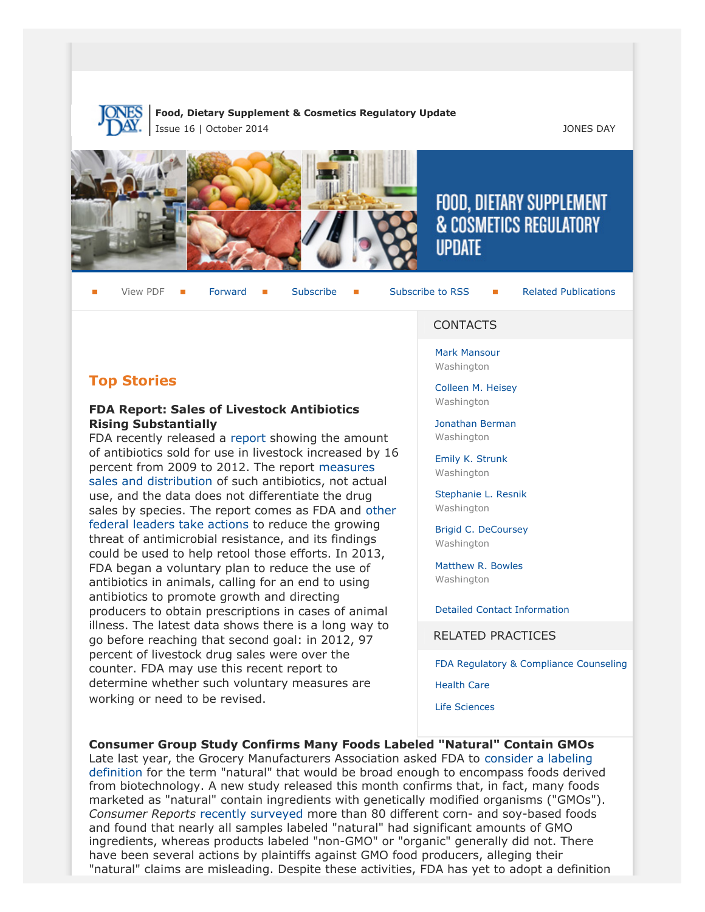

#### **Food, Dietary Supplement & Cosmetics Regulatory Update** Issue 16 | October 2014 JONES DAY







# FOOD, DIETARY SUPPLEMENT **& COSMETICS REGULATORY IIPDATF**

View PDF **[Forward](http://thewritestuff.jonesday.com/cff/d859a5132f37e0c3cf222159ee01b2f161dcae73/) Forward [Subscribe](http://www.jonesday.com/newsknowledge/publications.aspx) Gubscribe to RSS** [Related Publications](http://www.jonesday.com/experiencepractices/servicedetail.aspx?serviceid=593cb647-a5c4-49c3-9086-fedc34b24e1d§ion=Publications)

## **Top Stories**

#### **FDA Report: Sales of Livestock Antibiotics Rising Substantially**

FDA recently released a [report](http://www.fda.gov/downloads/ForIndustry/UserFees/AnimalDrugUserFeeActADUFA/UCM416983.pdf) showing the amount of antibiotics sold for use in livestock increased by 16 percent from 2009 to 2012. The report [measures](http://online.wsj.com/articles/antibiotics-use-in-animals-destined-for-human-consumption-surges-1412274604) [sales and distribution](http://online.wsj.com/articles/antibiotics-use-in-animals-destined-for-human-consumption-surges-1412274604) of such antibiotics, not actual use, and the data does not differentiate the drug sales by species. The report comes as FDA and [other](http://www.whitehouse.gov/the-press-office/2014/09/18/executive-order-combating-antibiotic-resistant-bacteria) [federal leaders take actions](http://www.whitehouse.gov/the-press-office/2014/09/18/executive-order-combating-antibiotic-resistant-bacteria) to reduce the growing threat of antimicrobial resistance, and its findings could be used to help retool those efforts. In 2013, FDA began a voluntary plan to reduce the use of antibiotics in animals, calling for an end to using antibiotics to promote growth and directing producers to obtain prescriptions in cases of animal illness. The latest data shows there is a long way to go before reaching that second goal: in 2012, 97 percent of livestock drug sales were over the counter. FDA may use this recent report to determine whether such voluntary measures are working or need to be revised.

#### **CONTACTS**

[Mark Mansour](http://www.jonesday.com/mmansour) Washington

[Colleen M. Heisey](http://www.jonesday.com/cmheisey) Washington

[Jonathan Berman](http://www.jonesday.com/jberman) Washington

[Emily K. Strunk](http://www.jonesday.com/estrunk) Washington

[Stephanie L. Resnik](http://www.jonesday.com/sresnik) Washington

[Brigid C. DeCoursey](http://www.jonesday.com/bdecoursey) Washington

[Matthew R. Bowles](http://www.jonesday.com/mbowles) Washington

[Detailed Contact Information](#page-4-0)

RELATED PRACTICES

[FDA Regulatory & Compliance Counseling](http://www.jonesday.com/fdaregulatoryandcompliancecounseling/)

[Health Care](http://www.jonesday.com/Health-Care-Practices)

[Life Sciences](http://www.jonesday.com/lifesciences/)

#### **Consumer Group Study Confirms Many Foods Labeled "Natural" Contain GMOs**

Late last year, the Grocery Manufacturers Association asked FDA to [consider a labeling](http://foodindustrylaw.files.wordpress.com/2014/01/gma-fda-letter12-5-13.pdf) [definition](http://foodindustrylaw.files.wordpress.com/2014/01/gma-fda-letter12-5-13.pdf) for the term "natural" that would be broad enough to encompass foods derived from biotechnology. A new study released this month confirms that, in fact, many foods marketed as "natural" contain ingredients with genetically modified organisms ("GMOs"). *Consumer Reports* [recently surveyed](http://www.reuters.com/article/2014/10/07/us-usa-gmo-labeling-idUSKCN0HW0R520141007) more than 80 different corn- and soy-based foods and found that nearly all samples labeled "natural" had significant amounts of GMO ingredients, whereas products labeled "non-GMO" or "organic" generally did not. There have been several actions by plaintiffs against GMO food producers, alleging their "natural" claims are misleading. Despite these activities, FDA has yet to adopt a definition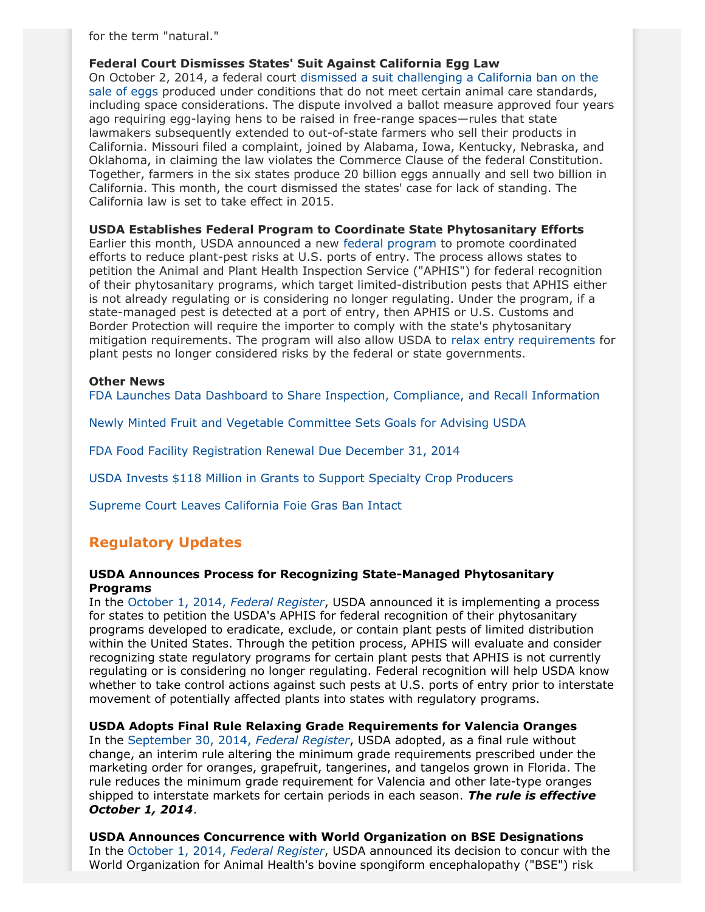for the term "natural."

**Federal Court Dismisses States' Suit Against California Egg Law**

On October 2, 2014, a federal court [dismissed a suit challenging a California ban on the](http://www.nytimes.com/2014/10/04/business/us-judge-dismisses-6-state-suit-over-california-egg-law.html) [sale of eggs](http://www.nytimes.com/2014/10/04/business/us-judge-dismisses-6-state-suit-over-california-egg-law.html) produced under conditions that do not meet certain animal care standards, including space considerations. The dispute involved a ballot measure approved four years ago requiring egg-laying hens to be raised in free-range spaces—rules that state lawmakers subsequently extended to out-of-state farmers who sell their products in California. Missouri filed a complaint, joined by Alabama, Iowa, Kentucky, Nebraska, and Oklahoma, in claiming the law violates the Commerce Clause of the federal Constitution. Together, farmers in the six states produce 20 billion eggs annually and sell two billion in California. This month, the court dismissed the states' case for lack of standing. The California law is set to take effect in 2015.

**USDA Establishes Federal Program to Coordinate State Phytosanitary Efforts**

Earlier this month, USDA announced a new [federal program](http://www.gpo.gov/fdsys/pkg/FR-2014-10-01/pdf/2014-23386.pdf) to promote coordinated efforts to reduce plant-pest risks at U.S. ports of entry. The process allows states to petition the Animal and Plant Health Inspection Service ("APHIS") for federal recognition of their phytosanitary programs, which target limited-distribution pests that APHIS either is not already regulating or is considering no longer regulating. Under the program, if a state-managed pest is detected at a port of entry, then APHIS or U.S. Customs and Border Protection will require the importer to comply with the state's phytosanitary mitigation requirements. The program will also allow USDA to [relax entry requirements](http://www.fruitnet.com/americafruit/article/162887/us-implements-federal-plant-pest-programme) for plant pests no longer considered risks by the federal or state governments.

#### **Other News**

[FDA Launches Data Dashboard to Share Inspection, Compliance, and Recall Information](http://blogs.fda.gov/fdavoice/index.php/2014/10/new-data-dashboard-tool-shares-fdas-inspection-compliance-and-recall-data/#sthash.bYKormkR.dpuf)

[Newly Minted Fruit and Vegetable Committee Sets Goals for Advising USDA](http://www.thegrower.com/news/Fruit-and-vegetable-committee-works-on-action-plan-277601821.html?view=all)

[FDA Food Facility Registration Renewal Due December 31, 2014](http://www.fda.gov/Food/NewsEvents/ConstituentUpdates/ucm416121.htm)

[USDA Invests \\$118 Million in Grants to Support Specialty Crop Producers](http://www.usda.gov/wps/portal/usda/usdahome?contentid=2014/10/0220.xml&navid=NEWS_RELEASE&navtype=RT&parentnav=LATEST_RELEASES&edeployment_action=retrievecontent)

[Supreme Court Leaves California Foie Gras Ban Intact](http://www.reuters.com/article/2014/10/14/us-usa-court-food-idUSKCN0I31NH20141014)

## **Regulatory Updates**

#### **USDA Announces Process for Recognizing State-Managed Phytosanitary Programs**

In the [October 1, 2014,](http://www.gpo.gov/fdsys/pkg/FR-2014-10-01/pdf/2014-23386.pdf) *Federal Register*, USDA announced it is implementing a process for states to petition the USDA's APHIS for federal recognition of their phytosanitary programs developed to eradicate, exclude, or contain plant pests of limited distribution within the United States. Through the petition process, APHIS will evaluate and consider recognizing state regulatory programs for certain plant pests that APHIS is not currently regulating or is considering no longer regulating. Federal recognition will help USDA know whether to take control actions against such pests at U.S. ports of entry prior to interstate movement of potentially affected plants into states with regulatory programs.

#### **USDA Adopts Final Rule Relaxing Grade Requirements for Valencia Oranges**

In the [September 30, 2014,](http://www.gpo.gov/fdsys/pkg/FR-2014-09-30/pdf/2014-23239.pdf) *Federal Register*, USDA adopted, as a final rule without change, an interim rule altering the minimum grade requirements prescribed under the marketing order for oranges, grapefruit, tangerines, and tangelos grown in Florida. The rule reduces the minimum grade requirement for Valencia and other late-type oranges shipped to interstate markets for certain periods in each season. *The rule is effective October 1, 2014*.

**USDA Announces Concurrence with World Organization on BSE Designations** In the [October 1, 2014,](http://www.gpo.gov/fdsys/pkg/FR-2014-10-01/pdf/2014-23407.pdf) *Federal Register*, USDA announced its decision to concur with the World Organization for Animal Health's bovine spongiform encephalopathy ("BSE") risk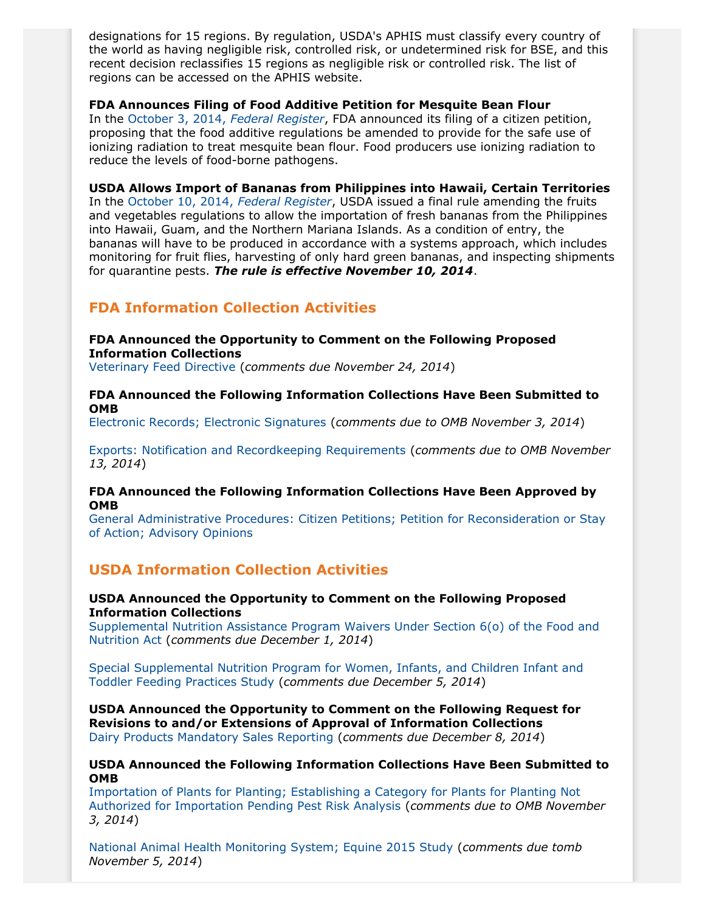designations for 15 regions. By regulation, USDA's APHIS must classify every country of the world as having negligible risk, controlled risk, or undetermined risk for BSE, and this recent decision reclassifies 15 regions as negligible risk or controlled risk. The list of regions can be accessed on the APHIS website.

#### **FDA Announces Filing of Food Additive Petition for Mesquite Bean Flour**

In the [October 3, 2014,](http://www.gpo.gov/fdsys/pkg/FR-2014-10-03/pdf/2014-23597.pdf) *Federal Register*, FDA announced its filing of a citizen petition, proposing that the food additive regulations be amended to provide for the safe use of ionizing radiation to treat mesquite bean flour. Food producers use ionizing radiation to reduce the levels of food-borne pathogens.

**USDA Allows Import of Bananas from Philippines into Hawaii, Certain Territories** In the [October 10, 2014,](http://www.gpo.gov/fdsys/pkg/FR-2014-10-10/pdf/2014-24246.pdf) *Federal Register*, USDA issued a final rule amending the fruits and vegetables regulations to allow the importation of fresh bananas from the Philippines into Hawaii, Guam, and the Northern Mariana Islands. As a condition of entry, the bananas will have to be produced in accordance with a systems approach, which includes monitoring for fruit flies, harvesting of only hard green bananas, and inspecting shipments for quarantine pests. *The rule is effective November 10, 2014*.

## **FDA Information Collection Activities**

#### **FDA Announced the Opportunity to Comment on the Following Proposed Information Collections**

[Veterinary Feed Directive](http://www.gpo.gov/fdsys/pkg/FR-2014-09-25/pdf/2014-22808.pdf) (*comments due November 24, 2014*)

#### **FDA Announced the Following Information Collections Have Been Submitted to OMB**

[Electronic Records; Electronic Signatures](http://www.gpo.gov/fdsys/pkg/FR-2014-10-03/pdf/2014-23551.pdf) (*comments due to OMB November 3, 2014*)

[Exports: Notification and Recordkeeping Requirements](http://www.gpo.gov/fdsys/pkg/FR-2014-10-14/pdf/2014-24293.pdf) (*comments due to OMB November 13, 2014*)

#### **FDA Announced the Following Information Collections Have Been Approved by OMB**

[General Administrative Procedures: Citizen Petitions; Petition for Reconsideration or Stay](http://www.gpo.gov/fdsys/pkg/FR-2014-10-08/pdf/2014-24051.pdf) [of Action; Advisory Opinions](http://www.gpo.gov/fdsys/pkg/FR-2014-10-08/pdf/2014-24051.pdf)

## **USDA Information Collection Activities**

#### **USDA Announced the Opportunity to Comment on the Following Proposed Information Collections**

[Supplemental Nutrition Assistance Program Waivers Under Section 6\(o\) of the Food and](http://www.gpo.gov/fdsys/pkg/FR-2014-09-30/pdf/2014-23176.pdf) [Nutrition Act](http://www.gpo.gov/fdsys/pkg/FR-2014-09-30/pdf/2014-23176.pdf) (*comments due December 1, 2014*)

[Special Supplemental Nutrition Program for Women, Infants, and Children Infant and](http://www.gpo.gov/fdsys/pkg/FR-2014-10-06/pdf/2014-23740.pdf) [Toddler Feeding Practices Study](http://www.gpo.gov/fdsys/pkg/FR-2014-10-06/pdf/2014-23740.pdf) (*comments due December 5, 2014*)

**USDA Announced the Opportunity to Comment on the Following Request for Revisions to and/or Extensions of Approval of Information Collections** [Dairy Products Mandatory Sales Reporting](http://www.gpo.gov/fdsys/pkg/FR-2014-10-08/pdf/2014-24012.pdf) (*comments due December 8, 2014*)

#### **USDA Announced the Following Information Collections Have Been Submitted to OMB**

[Importation of Plants for Planting; Establishing a Category for Plants for Planting Not](http://www.gpo.gov/fdsys/pkg/FR-2014-10-03/pdf/2014-23525.pdf) [Authorized for Importation Pending Pest Risk Analysis](http://www.gpo.gov/fdsys/pkg/FR-2014-10-03/pdf/2014-23525.pdf) (*comments due to OMB November 3, 2014*)

[National Animal Health Monitoring System; Equine 2015 Study](http://www.gpo.gov/fdsys/pkg/FR-2014-10-06/pdf/2014-23709.pdf) (*comments due tomb November 5, 2014*)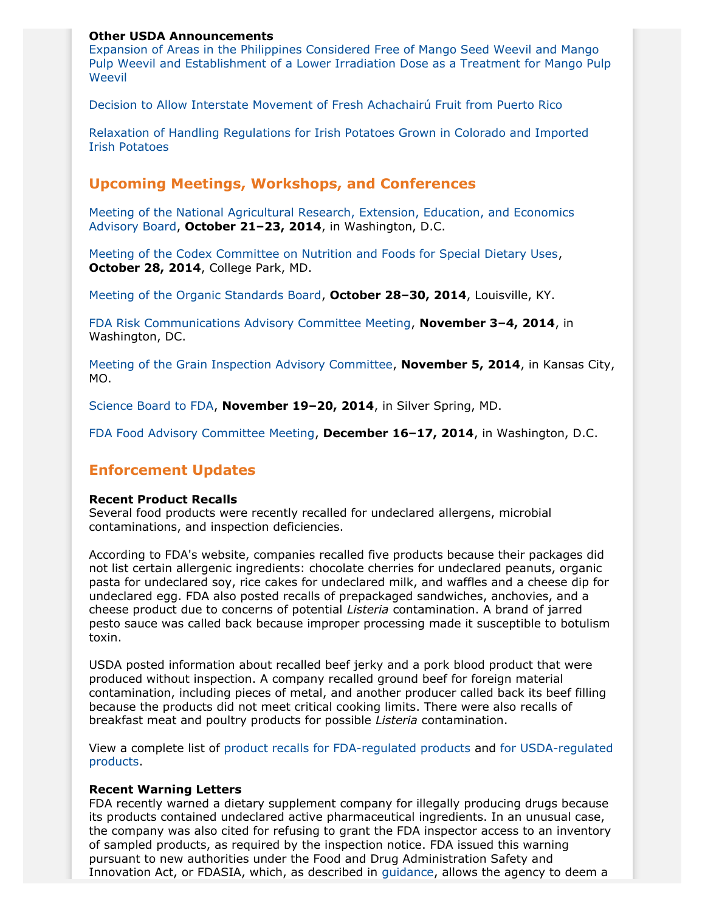#### **Other USDA Announcements**

[Expansion of Areas in the Philippines Considered Free of Mango Seed Weevil and Mango](http://www.gpo.gov/fdsys/pkg/FR-2014-10-01/pdf/2014-23406.pdf) [Pulp Weevil and Establishment of a Lower Irradiation Dose as a Treatment for Mango Pulp](http://www.gpo.gov/fdsys/pkg/FR-2014-10-01/pdf/2014-23406.pdf) **[Weevil](http://www.gpo.gov/fdsys/pkg/FR-2014-10-01/pdf/2014-23406.pdf)** 

[Decision to Allow Interstate Movement of Fresh Achachairú Fruit from Puerto Rico](http://www.gpo.gov/fdsys/pkg/FR-2014-10-01/pdf/2014-23419.pdf)

[Relaxation of Handling Regulations for Irish Potatoes Grown in Colorado and Imported](http://www.gpo.gov/fdsys/pkg/FR-2014-10-06/pdf/2014-23524.pdf) [Irish Potatoes](http://www.gpo.gov/fdsys/pkg/FR-2014-10-06/pdf/2014-23524.pdf)

## **Upcoming Meetings, Workshops, and Conferences**

[Meeting of the National Agricultural Research, Extension, Education, and Economics](http://www.gpo.gov/fdsys/pkg/FR-2014-10-06/pdf/2014-23814.pdf) [Advisory Board](http://www.gpo.gov/fdsys/pkg/FR-2014-10-06/pdf/2014-23814.pdf), **October 21–23, 2014**, in Washington, D.C.

[Meeting of the Codex Committee on Nutrition and Foods for Special Dietary Uses,](http://www.gpo.gov/fdsys/pkg/FR-2014-09-10/pdf/2014-21551.pdf) **October 28, 2014**, College Park, MD.

[Meeting of the Organic Standards Board](http://www.gpo.gov/fdsys/pkg/FR-2014-09-08/pdf/2014-21292.pdf), **October 28–30, 2014**, Louisville, KY.

[FDA Risk Communications Advisory Committee Meeting](http://www.gpo.gov/fdsys/pkg/FR-2014-08-28/pdf/2014-20481.pdf), **November 3–4, 2014**, in Washington, DC.

[Meeting of the Grain Inspection Advisory Committee](http://www.gpo.gov/fdsys/pkg/FR-2014-10-14/pdf/2014-24335.pdf), **November 5, 2014**, in Kansas City, MO.

[Science Board to FDA,](http://www.gpo.gov/fdsys/pkg/FR-2014-10-08/pdf/2014-24001.pdf) **November 19–20, 2014**, in Silver Spring, MD.

[FDA Food Advisory Committee Meeting,](http://www.gpo.gov/fdsys/pkg/FR-2014-08-19/pdf/2014-19601.pdf) **December 16–17, 2014**, in Washington, D.C.

## **Enforcement Updates**

#### **Recent Product Recalls**

Several food products were recently recalled for undeclared allergens, microbial contaminations, and inspection deficiencies.

According to FDA's website, companies recalled five products because their packages did not list certain allergenic ingredients: chocolate cherries for undeclared peanuts, organic pasta for undeclared soy, rice cakes for undeclared milk, and waffles and a cheese dip for undeclared egg. FDA also posted recalls of prepackaged sandwiches, anchovies, and a cheese product due to concerns of potential *Listeria* contamination. A brand of jarred pesto sauce was called back because improper processing made it susceptible to botulism toxin.

USDA posted information about recalled beef jerky and a pork blood product that were produced without inspection. A company recalled ground beef for foreign material contamination, including pieces of metal, and another producer called back its beef filling because the products did not meet critical cooking limits. There were also recalls of breakfast meat and poultry products for possible *Listeria* contamination.

View a complete list of product recalls [for FDA-regulated products](http://www.fda.gov/Safety/Recalls/) and [for USDA-regulated](http://www.fsis.usda.gov/wps/portal/fsis/topics/recalls-and-public-health-alerts/current-recalls-and-alerts) [products.](http://www.fsis.usda.gov/wps/portal/fsis/topics/recalls-and-public-health-alerts/current-recalls-and-alerts)

#### **Recent Warning Letters**

FDA recently warned a dietary supplement company for illegally producing drugs because its products contained undeclared active pharmaceutical ingredients. In an unusual case, the company was also cited for refusing to grant the FDA inspector access to an inventory of sampled products, as required by the inspection notice. FDA issued this warning pursuant to new authorities under the Food and Drug Administration Safety and Innovation Act, or FDASIA, which, as described in [guidance,](http://www.fda.gov/downloads/RegulatoryInformation/Guidances/UCM360484.pdf) allows the agency to deem a